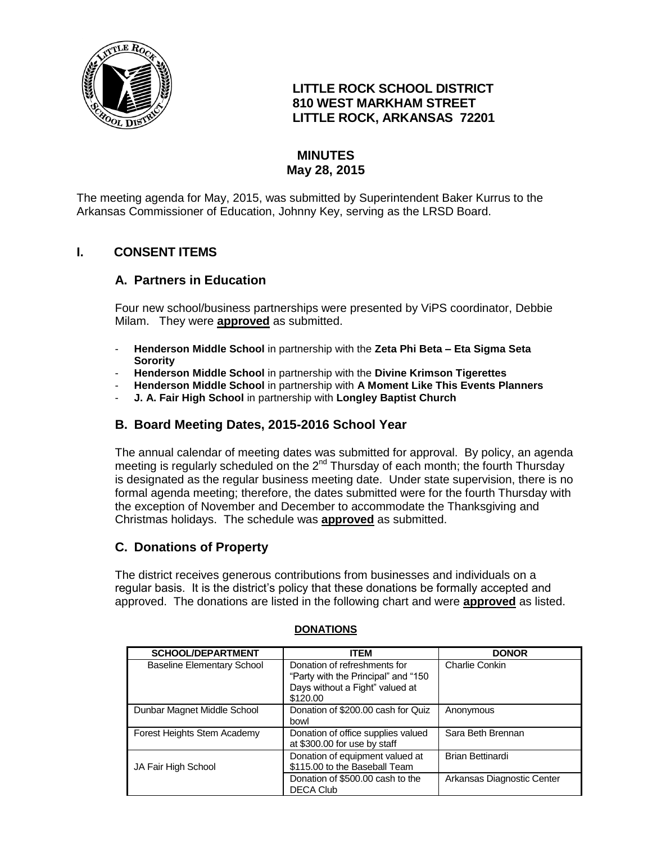

## **LITTLE ROCK SCHOOL DISTRICT 810 WEST MARKHAM STREET LITTLE ROCK, ARKANSAS 72201**

# **MINUTES May 28, 2015**

The meeting agenda for May, 2015, was submitted by Superintendent Baker Kurrus to the Arkansas Commissioner of Education, Johnny Key, serving as the LRSD Board.

## **I. CONSENT ITEMS**

### **A. Partners in Education**

Four new school/business partnerships were presented by ViPS coordinator, Debbie Milam. They were **approved** as submitted.

- **Henderson Middle School** in partnership with the **Zeta Phi Beta – Eta Sigma Seta Sorority**
- **Henderson Middle School** in partnership with the **Divine Krimson Tigerettes**
- **Henderson Middle School** in partnership with **A Moment Like This Events Planners**
- **J. A. Fair High School** in partnership with **Longley Baptist Church**

### **B. Board Meeting Dates, 2015-2016 School Year**

The annual calendar of meeting dates was submitted for approval. By policy, an agenda meeting is regularly scheduled on the 2<sup>nd</sup> Thursday of each month; the fourth Thursday is designated as the regular business meeting date. Under state supervision, there is no formal agenda meeting; therefore, the dates submitted were for the fourth Thursday with the exception of November and December to accommodate the Thanksgiving and Christmas holidays. The schedule was **approved** as submitted.

### **C. Donations of Property**

The district receives generous contributions from businesses and individuals on a regular basis. It is the district's policy that these donations be formally accepted and approved. The donations are listed in the following chart and were **approved** as listed.

| <b>SCHOOL/DEPARTMENT</b>          | <b>ITEM</b>                                                          | <b>DONOR</b>               |
|-----------------------------------|----------------------------------------------------------------------|----------------------------|
| <b>Baseline Elementary School</b> | Donation of refreshments for<br>"Party with the Principal" and "150" | Charlie Conkin             |
|                                   | Days without a Fight" valued at<br>\$120.00                          |                            |
| Dunbar Magnet Middle School       | Donation of \$200.00 cash for Quiz<br>bowl                           | Anonymous                  |
| Forest Heights Stem Academy       | Donation of office supplies valued<br>at \$300.00 for use by staff   | Sara Beth Brennan          |
| JA Fair High School               | Donation of equipment valued at<br>\$115.00 to the Baseball Team     | <b>Brian Bettinardi</b>    |
|                                   | Donation of \$500.00 cash to the<br><b>DECA Club</b>                 | Arkansas Diagnostic Center |

#### **DONATIONS**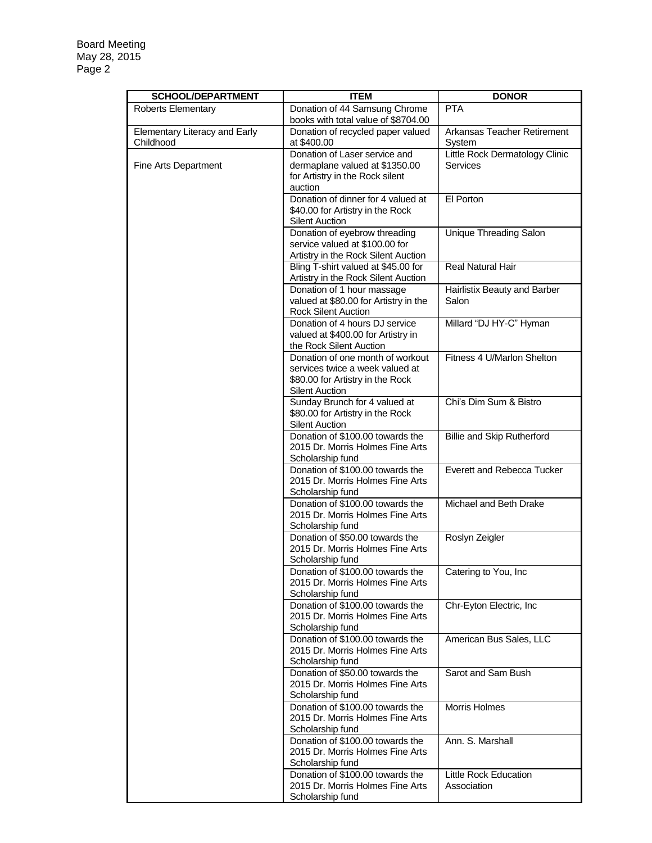| <b>SCHOOL/DEPARTMENT</b>                   | <b>ITEM</b>                                                                                                                      | <b>DONOR</b>                                      |
|--------------------------------------------|----------------------------------------------------------------------------------------------------------------------------------|---------------------------------------------------|
| Roberts Elementary                         | Donation of 44 Samsung Chrome                                                                                                    | <b>PTA</b>                                        |
|                                            | books with total value of \$8704.00                                                                                              |                                                   |
| Elementary Literacy and Early<br>Childhood | Donation of recycled paper valued<br>at \$400.00                                                                                 | Arkansas Teacher Retirement<br>System             |
| Fine Arts Department                       | Donation of Laser service and<br>dermaplane valued at \$1350.00<br>for Artistry in the Rock silent                               | Little Rock Dermatology Clinic<br><b>Services</b> |
|                                            | auction                                                                                                                          |                                                   |
|                                            | Donation of dinner for 4 valued at<br>\$40.00 for Artistry in the Rock<br><b>Silent Auction</b>                                  | El Porton                                         |
|                                            | Donation of eyebrow threading<br>service valued at \$100.00 for                                                                  | Unique Threading Salon                            |
|                                            | Artistry in the Rock Silent Auction                                                                                              |                                                   |
|                                            | Bling T-shirt valued at \$45.00 for<br>Artistry in the Rock Silent Auction                                                       | Real Natural Hair                                 |
|                                            | Donation of 1 hour massage<br>valued at \$80.00 for Artistry in the<br><b>Rock Silent Auction</b>                                | Hairlistix Beauty and Barber<br>Salon             |
|                                            | Donation of 4 hours DJ service<br>valued at \$400.00 for Artistry in<br>the Rock Silent Auction                                  | Millard "DJ HY-C" Hyman                           |
|                                            | Donation of one month of workout<br>services twice a week valued at<br>\$80.00 for Artistry in the Rock<br><b>Silent Auction</b> | Fitness 4 U/Marlon Shelton                        |
|                                            | Sunday Brunch for 4 valued at<br>\$80.00 for Artistry in the Rock<br><b>Silent Auction</b>                                       | Chi's Dim Sum & Bistro                            |
|                                            | Donation of \$100.00 towards the<br>2015 Dr. Morris Holmes Fine Arts<br>Scholarship fund                                         | <b>Billie and Skip Rutherford</b>                 |
|                                            | Donation of \$100.00 towards the<br>2015 Dr. Morris Holmes Fine Arts<br>Scholarship fund                                         | Everett and Rebecca Tucker                        |
|                                            | Donation of \$100.00 towards the<br>2015 Dr. Morris Holmes Fine Arts<br>Scholarship fund                                         | Michael and Beth Drake                            |
|                                            | Donation of \$50.00 towards the<br>2015 Dr. Morris Holmes Fine Arts<br>Scholarship fund                                          | Roslyn Zeigler                                    |
|                                            | Donation of \$100.00 towards the<br>2015 Dr. Morris Holmes Fine Arts<br>Scholarship fund                                         | Catering to You, Inc.                             |
|                                            | Donation of \$100.00 towards the<br>2015 Dr. Morris Holmes Fine Arts<br>Scholarship fund                                         | Chr-Eyton Electric, Inc                           |
|                                            | Donation of \$100.00 towards the<br>2015 Dr. Morris Holmes Fine Arts<br>Scholarship fund                                         | American Bus Sales, LLC                           |
|                                            | Donation of \$50.00 towards the<br>2015 Dr. Morris Holmes Fine Arts<br>Scholarship fund                                          | Sarot and Sam Bush                                |
|                                            | Donation of \$100.00 towards the<br>2015 Dr. Morris Holmes Fine Arts<br>Scholarship fund                                         | Morris Holmes                                     |
|                                            | Donation of \$100.00 towards the<br>2015 Dr. Morris Holmes Fine Arts<br>Scholarship fund                                         | Ann. S. Marshall                                  |
|                                            | Donation of \$100.00 towards the<br>2015 Dr. Morris Holmes Fine Arts<br>Scholarship fund                                         | Little Rock Education<br>Association              |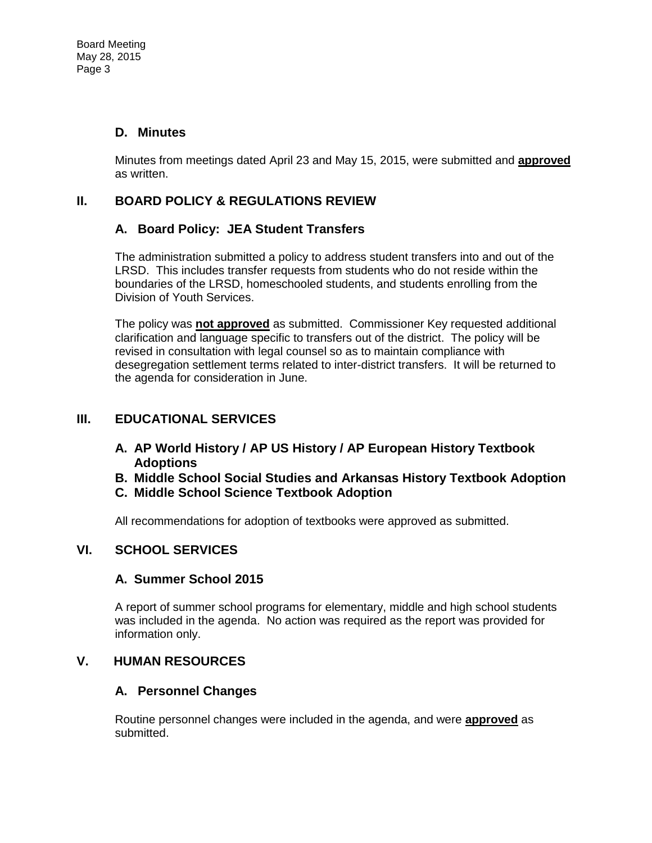## **D. Minutes**

Minutes from meetings dated April 23 and May 15, 2015, were submitted and **approved** as written.

# **II. BOARD POLICY & REGULATIONS REVIEW**

### **A. Board Policy: JEA Student Transfers**

The administration submitted a policy to address student transfers into and out of the LRSD. This includes transfer requests from students who do not reside within the boundaries of the LRSD, homeschooled students, and students enrolling from the Division of Youth Services.

The policy was **not approved** as submitted. Commissioner Key requested additional clarification and language specific to transfers out of the district. The policy will be revised in consultation with legal counsel so as to maintain compliance with desegregation settlement terms related to inter-district transfers. It will be returned to the agenda for consideration in June.

# **III. EDUCATIONAL SERVICES**

- **A. AP World History / AP US History / AP European History Textbook Adoptions**
- **B. Middle School Social Studies and Arkansas History Textbook Adoption**
- **C. Middle School Science Textbook Adoption**

All recommendations for adoption of textbooks were approved as submitted.

# **VI. SCHOOL SERVICES**

### **A. Summer School 2015**

A report of summer school programs for elementary, middle and high school students was included in the agenda. No action was required as the report was provided for information only.

### **V. HUMAN RESOURCES**

### **A. Personnel Changes**

Routine personnel changes were included in the agenda, and were **approved** as submitted.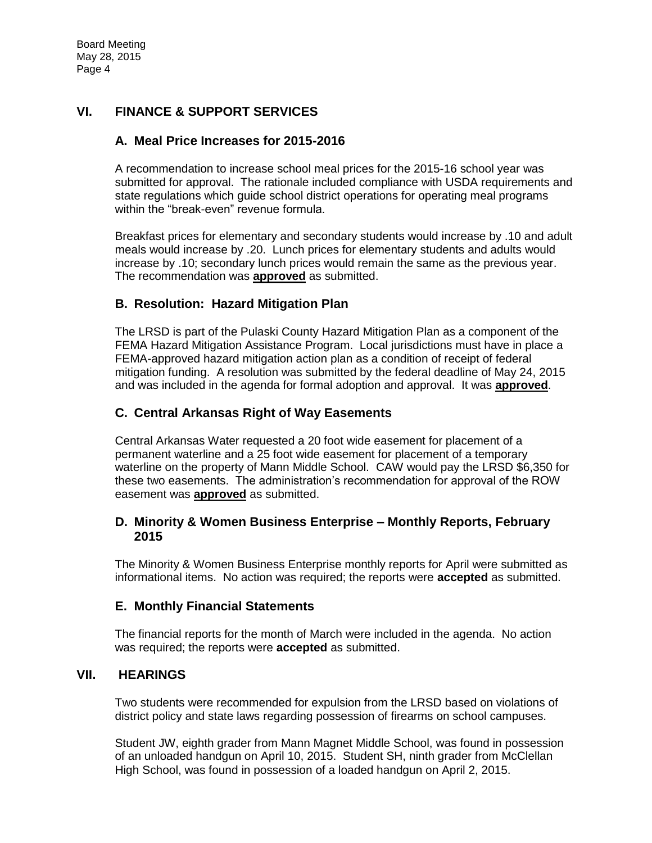# **VI. FINANCE & SUPPORT SERVICES**

#### **A. Meal Price Increases for 2015-2016**

A recommendation to increase school meal prices for the 2015-16 school year was submitted for approval. The rationale included compliance with USDA requirements and state regulations which guide school district operations for operating meal programs within the "break-even" revenue formula.

Breakfast prices for elementary and secondary students would increase by .10 and adult meals would increase by .20. Lunch prices for elementary students and adults would increase by .10; secondary lunch prices would remain the same as the previous year. The recommendation was **approved** as submitted.

#### **B. Resolution: Hazard Mitigation Plan**

The LRSD is part of the Pulaski County Hazard Mitigation Plan as a component of the FEMA Hazard Mitigation Assistance Program. Local jurisdictions must have in place a FEMA-approved hazard mitigation action plan as a condition of receipt of federal mitigation funding. A resolution was submitted by the federal deadline of May 24, 2015 and was included in the agenda for formal adoption and approval. It was **approved**.

#### **C. Central Arkansas Right of Way Easements**

Central Arkansas Water requested a 20 foot wide easement for placement of a permanent waterline and a 25 foot wide easement for placement of a temporary waterline on the property of Mann Middle School. CAW would pay the LRSD \$6,350 for these two easements. The administration's recommendation for approval of the ROW easement was **approved** as submitted.

#### **D. Minority & Women Business Enterprise – Monthly Reports, February 2015**

The Minority & Women Business Enterprise monthly reports for April were submitted as informational items. No action was required; the reports were **accepted** as submitted.

#### **E. Monthly Financial Statements**

The financial reports for the month of March were included in the agenda. No action was required; the reports were **accepted** as submitted.

#### **VII. HEARINGS**

Two students were recommended for expulsion from the LRSD based on violations of district policy and state laws regarding possession of firearms on school campuses.

Student JW, eighth grader from Mann Magnet Middle School, was found in possession of an unloaded handgun on April 10, 2015. Student SH, ninth grader from McClellan High School, was found in possession of a loaded handgun on April 2, 2015.